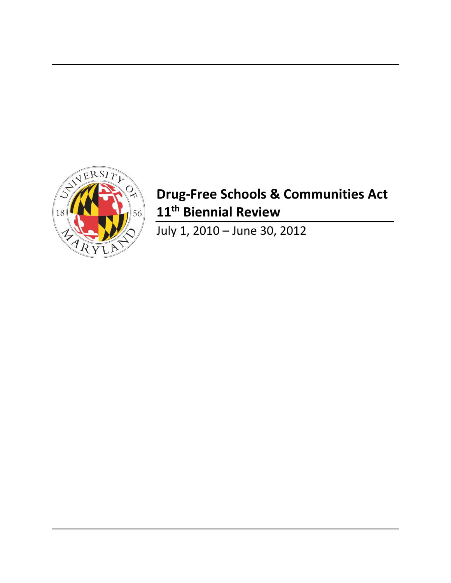

# **Drug-Free Schools & Communities Act 11 th Biennial Review**

July 1, 2010 – June 30, 2012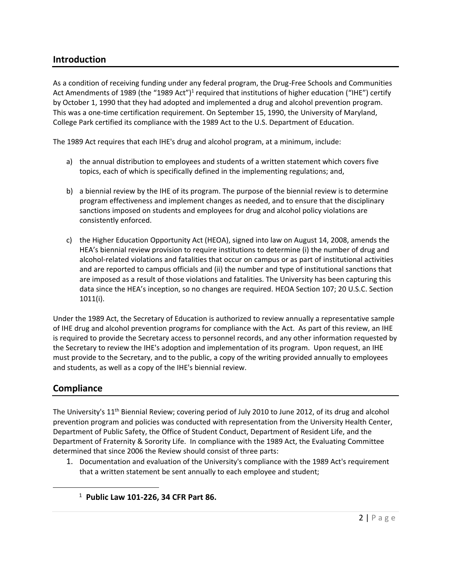## **Introduction**

As a condition of receiving funding under any federal program, the Drug-Free Schools and Communities Act Amendments of 1989 (the "1989 Act")<sup>1</sup> required that institutions of higher education ("IHE") certify by October 1, 1990 that they had adopted and implemented a drug and alcohol prevention program. This was a one-time certification requirement. On September 15, 1990, the University of Maryland, College Park certified its compliance with the 1989 Act to the U.S. Department of Education.

The 1989 Act requires that each IHE's drug and alcohol program, at a minimum, include:

- a) the annual distribution to employees and students of a written statement which covers five topics, each of which is specifically defined in the implementing regulations; and,
- b) a biennial review by the IHE of its program. The purpose of the biennial review is to determine program effectiveness and implement changes as needed, and to ensure that the disciplinary sanctions imposed on students and employees for drug and alcohol policy violations are consistently enforced.
- c) the Higher Education Opportunity Act (HEOA), signed into law on August 14, 2008, amends the HEA's biennial review provision to require institutions to determine (i) the number of drug and alcohol-related violations and fatalities that occur on campus or as part of institutional activities and are reported to campus officials and (ii) the number and type of institutional sanctions that are imposed as a result of those violations and fatalities. The University has been capturing this data since the HEA's inception, so no changes are required. HEOA Section 107; 20 U.S.C. Section 1011(i).

Under the 1989 Act, the Secretary of Education is authorized to review annually a representative sample of IHE drug and alcohol prevention programs for compliance with the Act. As part of this review, an IHE is required to provide the Secretary access to personnel records, and any other information requested by the Secretary to review the IHE's adoption and implementation of its program. Upon request, an IHE must provide to the Secretary, and to the public, a copy of the writing provided annually to employees and students, as well as a copy of the IHE's biennial review.

## **Compliance**

 $\overline{a}$ 

The University's 11<sup>th</sup> Biennial Review; covering period of July 2010 to June 2012, of its drug and alcohol prevention program and policies was conducted with representation from the University Health Center, Department of Public Safety, the Office of Student Conduct, Department of Resident Life, and the Department of Fraternity & Sorority Life. In compliance with the 1989 Act, the Evaluating Committee determined that since 2006 the Review should consist of three parts:

- 1. Documentation and evaluation of the University's compliance with the 1989 Act's requirement that a written statement be sent annually to each employee and student;
	- 1 **Public Law 101-226, 34 CFR Part 86.**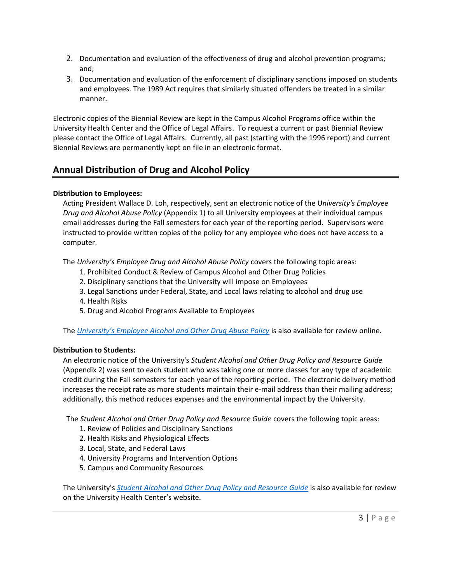- 2. Documentation and evaluation of the effectiveness of drug and alcohol prevention programs; and;
- 3. Documentation and evaluation of the enforcement of disciplinary sanctions imposed on students and employees. The 1989 Act requires that similarly situated offenders be treated in a similar manner.

Electronic copies of the Biennial Review are kept in the Campus Alcohol Programs office within the University Health Center and the Office of Legal Affairs. To request a current or past Biennial Review please contact the Office of Legal Affairs. Currently, all past (starting with the 1996 report) and current Biennial Reviews are permanently kept on file in an electronic format.

## **Annual Distribution of Drug and Alcohol Policy**

## **Distribution to Employees:**

Acting President Wallace D. Loh, respectively, sent an electronic notice of the U*niversity's Employee Drug and Alcohol Abuse Policy* (Appendix 1) to all University employees at their individual campus email addresses during the Fall semesters for each year of the reporting period. Supervisors were instructed to provide written copies of the policy for any employee who does not have access to a computer.

The *University's Employee Drug and Alcohol Abuse Policy* covers the following topic areas:

- 1. Prohibited Conduct & Review of Campus Alcohol and Other Drug Policies
- 2. Disciplinary sanctions that the University will impose on Employees
- 3. Legal Sanctions under Federal, State, and Local laws relating to alcohol and drug use
- 4. Health Risks
- 5. Drug and Alcohol Programs Available to Employees

The *University's Employe[e Alcohol and Other Drug Abuse Policy](http://www.president.umd.edu/policies/docs/VI-800A.pdf)* is also available for review online.

## **Distribution to Students:**

An electronic notice of the University's *Student Alcohol and Other Drug Policy and Resource Guide* (Appendix 2) was sent to each student who was taking one or more classes for any type of academic credit during the Fall semesters for each year of the reporting period. The electronic delivery method increases the receipt rate as more students maintain their e-mail address than their mailing address; additionally, this method reduces expenses and the environmental impact by the University.

The *Student Alcohol and Other Drug Policy and Resource Guide* covers the following topic areas:

- 1. Review of Policies and Disciplinary Sanctions
- 2. Health Risks and Physiological Effects
- 3. Local, State, and Federal Laws
- 4. University Programs and Intervention Options
- 5. Campus and Community Resources

The University's *[Student Alcohol and Other Drug Policy and Resource Guide](http://www.health.umd.edu/sites/default/files/AOD%20Policy%20And%20Resource%20Guide%202014-2015.pdf)* is also available for review on the University Health Center's website.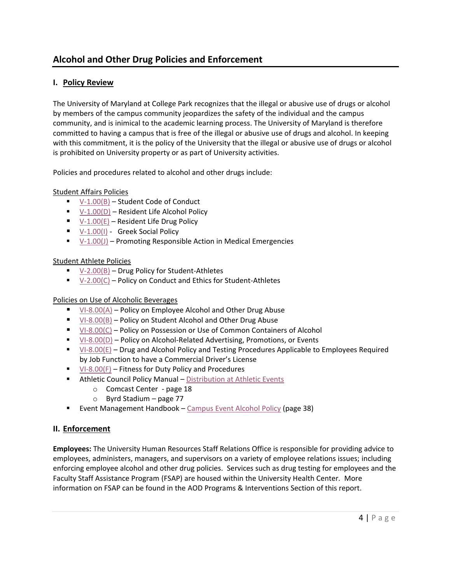## **Alcohol and Other Drug Policies and Enforcement**

## **I. Policy Review**

The University of Maryland at College Park recognizes that the illegal or abusive use of drugs or alcohol by members of the campus community jeopardizes the safety of the individual and the campus community, and is inimical to the academic learning process. The University of Maryland is therefore committed to having a campus that is free of the illegal or abusive use of drugs and alcohol. In keeping with this commitment, it is the policy of the University that the illegal or abusive use of drugs or alcohol is prohibited on University property or as part of University activities.

Policies and procedures related to alcohol and other drugs include:

#### Student Affairs Policies

- $V-1.00(B)$  Student Code of Conduct
- $V-1.00(D)$  Resident Life Alcohol Policy
- $V-1.00(E)$  Resident Life Drug Policy
- [V-1.00\(I\)](http://www.president.umd.edu/policies/2014-V-100i.html) Greek Social Policy
- $V-1.00(J)$  Promoting Responsible Action in Medical Emergencies

#### Student Athlete Policies

- [V-2.00\(B\)](http://www.president.umd.edu/policies/docs/V-200B.pdf) Drug Policy for Student-Athletes
- $V-2.00(C)$  Policy on Conduct and Ethics for Student-Athletes

#### Policies on Use of Alcoholic Beverages

- [VI-8.00\(A\)](http://www.president.umd.edu/policies/docs/VI-800A.pdf) Policy on Employee Alcohol and Other Drug Abuse
- [VI-8.00\(B\)](http://www.president.umd.edu/policies/docs/VI-800B.pdf) Policy on Student Alcohol and Other Drug Abuse
- [VI-8.00\(C\)](http://www.president.umd.edu/policies/2014-VI-800c.html) Policy on Possession or Use of Common Containers of Alcohol
- [VI-8.00\(D\)](http://www.president.umd.edu/policies/2014-VI-800d.html) Policy on Alcohol-Related Advertising, Promotions, or Events
- $V1-8.00(E)$  Drug and Alcohol Policy and Testing Procedures Applicable to Employees Required by Job Function to have a Commercial Driver's License
- $\blacksquare$  [VI-8.00\(F\)](http://www.president.umd.edu/policies/docs/VI-800F.pdf) Fitness for Duty Policy and Procedures
- **E** Athletic Council Policy Manual [Distribution at Athletic Events](http://www.umterps.com/fls/29700/pdf/athleticcouncil/1314AC_PolicyManual.pdf?DB_OEM_ID=29700)
	- o Comcast Center page 18
	- $\circ$  Byrd Stadium page 77
- **Event Management Handbook [Campus Event Alcohol Policy](http://thestamp.umd.edu/Portals/0/QuickGallery/1019/110938EMH_Jan_11_version.pdf) (page 38)**

## **II. Enforcement**

**Employees:** The University Human Resources Staff Relations Office is responsible for providing advice to employees, administers, managers, and supervisors on a variety of employee relations issues; including enforcing employee alcohol and other drug policies. Services such as drug testing for employees and the Faculty Staff Assistance Program (FSAP) are housed within the University Health Center. More information on FSAP can be found in the AOD Programs & Interventions Section of this report.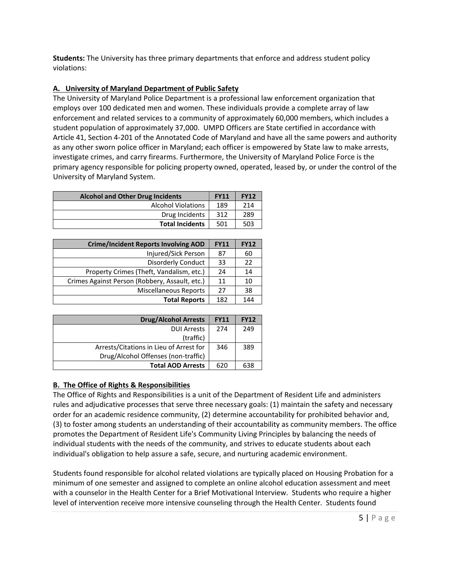**Students:** The University has three primary departments that enforce and address student policy violations:

## **A. University of Maryland Department of Public Safety**

The University of Maryland Police Department is a professional law enforcement organization that employs over 100 dedicated men and women. These individuals provide a complete array of law enforcement and related services to a community of approximately 60,000 members, which includes a student population of approximately 37,000. UMPD Officers are State certified in accordance with Article 41, Section 4-201 of the Annotated Code of Maryland and have all the same powers and authority as any other sworn police officer in Maryland; each officer is empowered by State law to make arrests, investigate crimes, and carry firearms. Furthermore, the University of Maryland Police Force is the primary agency responsible for policing property owned, operated, leased by, or under the control of the University of Maryland System.

| <b>Alcohol and Other Drug Incidents</b> |     | <b>FY12</b> |
|-----------------------------------------|-----|-------------|
| <b>Alcohol Violations</b>               | 189 | 214         |
| Drug Incidents                          | 312 | 289         |
| <b>Total Incidents</b>                  | 501 | 503         |

| <b>Crime/Incident Reports Involving AOD</b>    | <b>FY11</b> | <b>FY12</b> |
|------------------------------------------------|-------------|-------------|
| Injured/Sick Person                            | 87          | 60          |
| <b>Disorderly Conduct</b>                      | 33          | 22          |
| Property Crimes (Theft, Vandalism, etc.)       | 24          | 14          |
| Crimes Against Person (Robbery, Assault, etc.) | 11          | 10          |
| <b>Miscellaneous Reports</b>                   | 27          | 38          |
| <b>Total Reports</b>                           | 182         | 144         |

| <b>Drug/Alcohol Arrests</b>             | <b>FY11</b> | <b>FY12</b> |
|-----------------------------------------|-------------|-------------|
| <b>DUI Arrests</b>                      | 274         | 249         |
| (traffic)                               |             |             |
| Arrests/Citations in Lieu of Arrest for | 346         | 389         |
| Drug/Alcohol Offenses (non-traffic)     |             |             |
| <b>Total AOD Arrests</b>                | 620         | 638         |

## **B. The Office of Rights & Responsibilities**

The Office of Rights and Responsibilities is a unit of the Department of Resident Life and administers rules and adjudicative processes that serve three necessary goals: (1) maintain the safety and necessary order for an academic residence community, (2) determine accountability for prohibited behavior and, (3) to foster among students an understanding of their accountability as community members. The office promotes the Department of Resident Life's Community Living Principles by balancing the needs of individual students with the needs of the community, and strives to educate students about each individual's obligation to help assure a safe, secure, and nurturing academic environment.

Students found responsible for alcohol related violations are typically placed on Housing Probation for a minimum of one semester and assigned to complete an online alcohol education assessment and meet with a counselor in the Health Center for a Brief Motivational Interview. Students who require a higher level of intervention receive more intensive counseling through the Health Center. Students found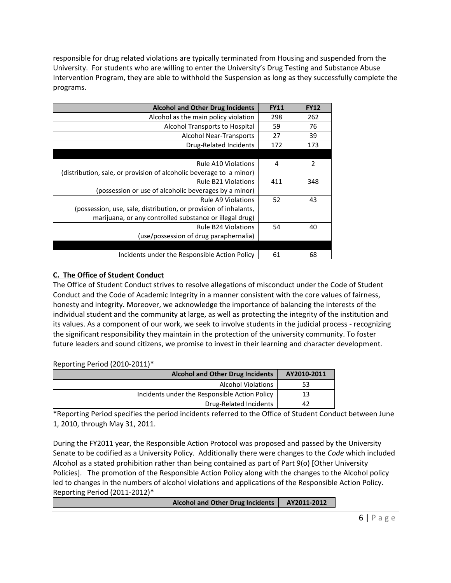responsible for drug related violations are typically terminated from Housing and suspended from the University. For students who are willing to enter the University's Drug Testing and Substance Abuse Intervention Program, they are able to withhold the Suspension as long as they successfully complete the programs.

| <b>Alcohol and Other Drug Incidents</b>                             | <b>FY11</b> | <b>FY12</b>    |
|---------------------------------------------------------------------|-------------|----------------|
| Alcohol as the main policy violation                                | 298         | 262            |
| Alcohol Transports to Hospital                                      | 59          | 76             |
| Alcohol Near-Transports                                             | 27          | 39             |
| Drug-Related Incidents                                              | 172         | 173            |
|                                                                     |             |                |
| Rule A10 Violations                                                 | 4           | $\overline{2}$ |
| (distribution, sale, or provision of alcoholic beverage to a minor) |             |                |
| <b>Rule B21 Violations</b>                                          | 411         | 348            |
| (possession or use of alcoholic beverages by a minor)               |             |                |
| <b>Rule A9 Violations</b>                                           | 52          | 43             |
| (possession, use, sale, distribution, or provision of inhalants,    |             |                |
| marijuana, or any controlled substance or illegal drug)             |             |                |
| <b>Rule B24 Violations</b>                                          | 54          | 40             |
| (use/possession of drug paraphernalia)                              |             |                |
|                                                                     |             |                |
| Incidents under the Responsible Action Policy                       | 61          | 68             |

## **C. The Office of Student Conduct**

The Office of Student Conduct strives to resolve allegations of misconduct under the Code of Student Conduct and the Code of Academic Integrity in a manner consistent with the core values of fairness, honesty and integrity. Moreover, we acknowledge the importance of balancing the interests of the individual student and the community at large, as well as protecting the integrity of the institution and its values. As a component of our work, we seek to involve students in the judicial process - recognizing the significant responsibility they maintain in the protection of the university community. To foster future leaders and sound citizens, we promise to invest in their learning and character development.

## Reporting Period (2010-2011)\*

| <b>Alcohol and Other Drug Incidents</b>       | AY2010-2011 |
|-----------------------------------------------|-------------|
| <b>Alcohol Violations</b>                     | 53          |
| Incidents under the Responsible Action Policy | 13          |
| Drug-Related Incidents                        | 42          |

\*Reporting Period specifies the period incidents referred to the Office of Student Conduct between June 1, 2010, through May 31, 2011.

During the FY2011 year, the Responsible Action Protocol was proposed and passed by the University Senate to be codified as a University Policy. Additionally there were changes to the *Code* which included Alcohol as a stated prohibition rather than being contained as part of Part 9(o) [Other University Policies]. The promotion of the Responsible Action Policy along with the changes to the Alcohol policy led to changes in the numbers of alcohol violations and applications of the Responsible Action Policy. Reporting Period (2011-2012)\*

Alcohol and Other Drug Incidents | AY2011-2012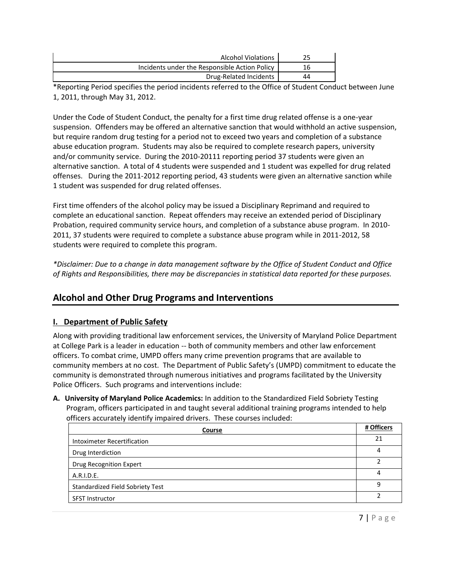| <b>Alcohol Violations</b>                     |    |
|-----------------------------------------------|----|
| Incidents under the Responsible Action Policy |    |
| Drug-Related Incidents                        | 44 |

\*Reporting Period specifies the period incidents referred to the Office of Student Conduct between June 1, 2011, through May 31, 2012.

Under the Code of Student Conduct, the penalty for a first time drug related offense is a one-year suspension. Offenders may be offered an alternative sanction that would withhold an active suspension, but require random drug testing for a period not to exceed two years and completion of a substance abuse education program. Students may also be required to complete research papers, university and/or community service. During the 2010-20111 reporting period 37 students were given an alternative sanction. A total of 4 students were suspended and 1 student was expelled for drug related offenses. During the 2011-2012 reporting period, 43 students were given an alternative sanction while 1 student was suspended for drug related offenses.

First time offenders of the alcohol policy may be issued a Disciplinary Reprimand and required to complete an educational sanction. Repeat offenders may receive an extended period of Disciplinary Probation, required community service hours, and completion of a substance abuse program. In 2010- 2011, 37 students were required to complete a substance abuse program while in 2011-2012, 58 students were required to complete this program.

*\*Disclaimer: Due to a change in data management software by the Office of Student Conduct and Office of Rights and Responsibilities, there may be discrepancies in statistical data reported for these purposes.* 

## **Alcohol and Other Drug Programs and Interventions**

## **I. Department of Public Safety**

Along with providing traditional law enforcement services, the University of Maryland Police Department at College Park is a leader in education -- both of community members and other law enforcement officers. To combat crime, UMPD offers many crime prevention programs that are available to community members at no cost. The Department of Public Safety's (UMPD) commitment to educate the community is demonstrated through numerous initiatives and programs facilitated by the University Police Officers. Such programs and interventions include:

**A. University of Maryland Police Academics:** In addition to the Standardized Field Sobriety Testing Program, officers participated in and taught several additional training programs intended to help officers accurately identify impaired drivers. These courses included:

| Course                                  | # Officers |
|-----------------------------------------|------------|
| Intoximeter Recertification             | 21         |
| Drug Interdiction                       | 4          |
| <b>Drug Recognition Expert</b>          |            |
| A.R.I.D.E.                              | 4          |
| <b>Standardized Field Sobriety Test</b> | q          |
| <b>SFST Instructor</b>                  |            |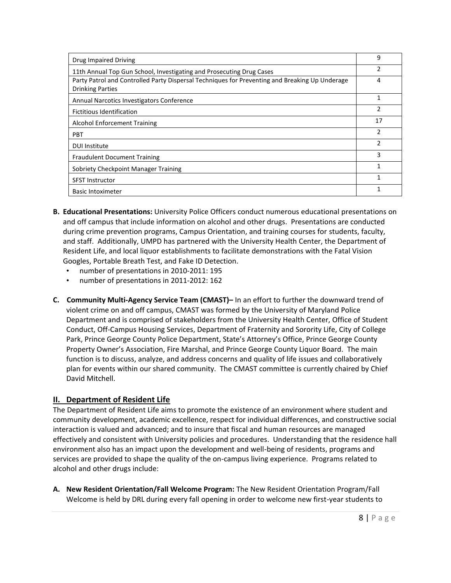| Drug Impaired Driving                                                                                                     | 9  |
|---------------------------------------------------------------------------------------------------------------------------|----|
| 11th Annual Top Gun School, Investigating and Prosecuting Drug Cases                                                      | 2  |
| Party Patrol and Controlled Party Dispersal Techniques for Preventing and Breaking Up Underage<br><b>Drinking Parties</b> | 4  |
| Annual Narcotics Investigators Conference                                                                                 | 1  |
| Fictitious Identification                                                                                                 | 2  |
| <b>Alcohol Enforcement Training</b>                                                                                       | 17 |
| <b>PBT</b>                                                                                                                | 2  |
| <b>DUI Institute</b>                                                                                                      | 2  |
| <b>Fraudulent Document Training</b>                                                                                       | 3  |
| Sobriety Checkpoint Manager Training                                                                                      | 1  |
| <b>SFST Instructor</b>                                                                                                    |    |
| <b>Basic Intoximeter</b>                                                                                                  |    |

- **B. Educational Presentations:** University Police Officers conduct numerous educational presentations on and off campus that include information on alcohol and other drugs. Presentations are conducted during crime prevention programs, Campus Orientation, and training courses for students, faculty, and staff. Additionally, UMPD has partnered with the University Health Center, the Department of Resident Life, and local liquor establishments to facilitate demonstrations with the Fatal Vision Googles, Portable Breath Test, and Fake ID Detection.
	- number of presentations in 2010-2011: 195
	- number of presentations in 2011-2012: 162
- **C. Community Multi-Agency Service Team (CMAST)–** In an effort to further the downward trend of violent crime on and off campus, CMAST was formed by the University of Maryland Police Department and is comprised of stakeholders from the University Health Center, Office of Student Conduct, Off-Campus Housing Services, Department of Fraternity and Sorority Life, City of College Park, Prince George County Police Department, State's Attorney's Office, Prince George County Property Owner's Association, Fire Marshal, and Prince George County Liquor Board. The main function is to discuss, analyze, and address concerns and quality of life issues and collaboratively plan for events within our shared community. The CMAST committee is currently chaired by Chief David Mitchell.

## **II. Department of Resident Life**

The Department of Resident Life aims to promote the existence of an environment where student and community development, academic excellence, respect for individual differences, and constructive social interaction is valued and advanced; and to insure that fiscal and human resources are managed effectively and consistent with University policies and procedures. Understanding that the residence hall environment also has an impact upon the development and well-being of residents, programs and services are provided to shape the quality of the on-campus living experience. Programs related to alcohol and other drugs include:

**A. New Resident Orientation/Fall Welcome Program:** The New Resident Orientation Program/Fall Welcome is held by DRL during every fall opening in order to welcome new first-year students to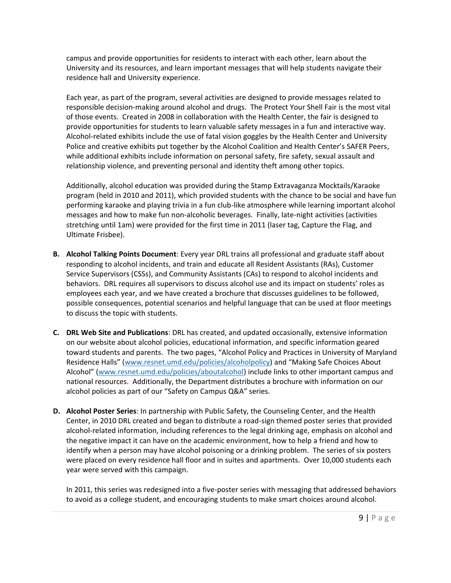campus and provide opportunities for residents to interact with each other, learn about the University and its resources, and learn important messages that will help students navigate their residence hall and University experience.

Each year, as part of the program, several activities are designed to provide messages related to responsible decision-making around alcohol and drugs. The Protect Your Shell Fair is the most vital of those events. Created in 2008 in collaboration with the Health Center, the fair is designed to provide opportunities for students to learn valuable safety messages in a fun and interactive way. Alcohol-related exhibits include the use of fatal vision goggles by the Health Center and University Police and creative exhibits put together by the Alcohol Coalition and Health Center's SAFER Peers, while additional exhibits include information on personal safety, fire safety, sexual assault and relationship violence, and preventing personal and identity theft among other topics.

Additionally, alcohol education was provided during the Stamp Extravaganza Mocktails/Karaoke program (held in 2010 and 2011), which provided students with the chance to be social and have fun performing karaoke and playing trivia in a fun club-like atmosphere while learning important alcohol messages and how to make fun non-alcoholic beverages. Finally, late-night activities (activities stretching until 1am) were provided for the first time in 2011 (laser tag, Capture the Flag, and Ultimate Frisbee).

- **B. Alcohol Talking Points Document**: Every year DRL trains all professional and graduate staff about responding to alcohol incidents, and train and educate all Resident Assistants (RAs), Customer Service Supervisors (CSSs), and Community Assistants (CAs) to respond to alcohol incidents and behaviors. DRL requires all supervisors to discuss alcohol use and its impact on students' roles as employees each year, and we have created a brochure that discusses guidelines to be followed, possible consequences, potential scenarios and helpful language that can be used at floor meetings to discuss the topic with students.
- **C. DRL Web Site and Publications**: DRL has created, and updated occasionally, extensive information on our website about alcohol policies, educational information, and specific information geared toward students and parents. The two pages, "Alcohol Policy and Practices in University of Maryland Residence Halls" ([www.resnet.umd.edu/policies/alcoholpolicy](http://www.resnet.umd.edu/policies/alcoholpolicy)) and "Making Safe Choices About Alcohol" ([www.resnet.umd.edu/policies/aboutalcohol\)](http://www.resnet.umd.edu/policies/aboutalcohol) include links to other important campus and national resources. Additionally, the Department distributes a brochure with information on our alcohol policies as part of our "Safety on Campus Q&A" series.
- **D. Alcohol Poster Series**: In partnership with Public Safety, the Counseling Center, and the Health Center, in 2010 DRL created and began to distribute a road-sign themed poster series that provided alcohol-related information, including references to the legal drinking age, emphasis on alcohol and the negative impact it can have on the academic environment, how to help a friend and how to identify when a person may have alcohol poisoning or a drinking problem. The series of six posters were placed on every residence hall floor and in suites and apartments. Over 10,000 students each year were served with this campaign.

In 2011, this series was redesigned into a five-poster series with messaging that addressed behaviors to avoid as a college student, and encouraging students to make smart choices around alcohol.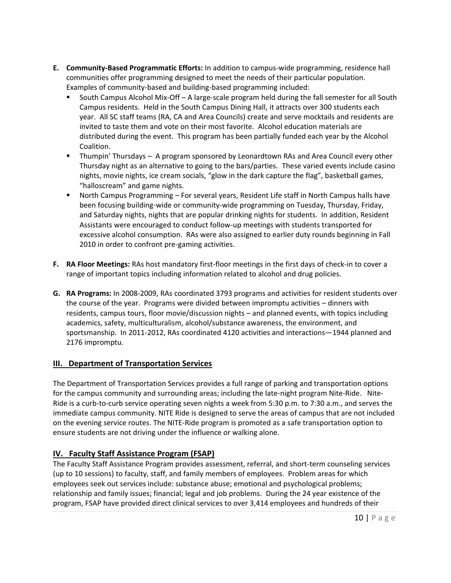- **E. Community-Based Programmatic Efforts:** In addition to campus-wide programming, residence hall communities offer programming designed to meet the needs of their particular population. Examples of community-based and building-based programming included:
	- South Campus Alcohol Mix-Off A large-scale program held during the fall semester for all South Campus residents. Held in the South Campus Dining Hall, it attracts over 300 students each year. All SC staff teams (RA, CA and Area Councils) create and serve mocktails and residents are invited to taste them and vote on their most favorite. Alcohol education materials are distributed during the event. This program has been partially funded each year by the Alcohol Coalition.
	- Thumpin' Thursdays A program sponsored by Leonardtown RAs and Area Council every other Thursday night as an alternative to going to the bars/parties. These varied events include casino nights, movie nights, ice cream socials, "glow in the dark capture the flag", basketball games, "halloscream" and game nights.
	- North Campus Programming For several years, Resident Life staff in North Campus halls have been focusing building-wide or community-wide programming on Tuesday, Thursday, Friday, and Saturday nights, nights that are popular drinking nights for students. In addition, Resident Assistants were encouraged to conduct follow-up meetings with students transported for excessive alcohol consumption. RAs were also assigned to earlier duty rounds beginning in Fall 2010 in order to confront pre-gaming activities.
- **F. RA Floor Meetings:** RAs host mandatory first-floor meetings in the first days of check-in to cover a range of important topics including information related to alcohol and drug policies.
- **G. RA Programs:** In 2008-2009, RAs coordinated 3793 programs and activities for resident students over the course of the year. Programs were divided between impromptu activities – dinners with residents, campus tours, floor movie/discussion nights – and planned events, with topics including academics, safety, multiculturalism, alcohol/substance awareness, the environment, and sportsmanship. In 2011-2012, RAs coordinated 4120 activities and interactions—1944 planned and 2176 impromptu.

## **III. Department of Transportation Services**

The Department of Transportation Services provides a full range of parking and transportation options for the campus community and surrounding areas; including the late-night program Nite-Ride. Nite-Ride is a curb-to-curb service operating seven nights a week from 5:30 p.m. to 7:30 a.m., and serves the immediate campus community. NITE Ride is designed to serve the areas of campus that are not included on the evening service routes. The NITE-Ride program is promoted as a safe transportation option to ensure students are not driving under the influence or walking alone.

## **IV. Faculty Staff Assistance Program (FSAP)**

The Faculty Staff Assistance Program provides assessment, referral, and short-term counseling services (up to 10 sessions) to faculty, staff, and family members of employees. Problem areas for which employees seek out services include: substance abuse; emotional and psychological problems; relationship and family issues; financial; legal and job problems. During the 24 year existence of the program, FSAP have provided direct clinical services to over 3,414 employees and hundreds of their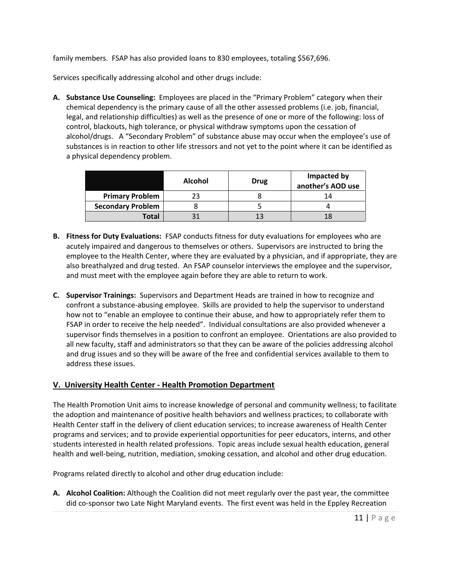family members. FSAP has also provided loans to 830 employees, totaling \$567,696.

Services specifically addressing alcohol and other drugs include:

**A. Substance Use Counseling:** Employees are placed in the "Primary Problem" category when their chemical dependency is the primary cause of all the other assessed problems (i.e. job, financial, legal, and relationship difficulties) as well as the presence of one or more of the following: loss of control, blackouts, high tolerance, or physical withdraw symptoms upon the cessation of alcohol/drugs. A "Secondary Problem" of substance abuse may occur when the employee's use of substances is in reaction to other life stressors and not yet to the point where it can be identified as a physical dependency problem.

|                          | <b>Alcohol</b> | Drug | Impacted by<br>another's AOD use |
|--------------------------|----------------|------|----------------------------------|
| <b>Primary Problem</b>   |                |      | 14                               |
| <b>Secondary Problem</b> |                |      |                                  |
| <b>Total</b>             |                | 13   |                                  |

- **B. Fitness for Duty Evaluations:** FSAP conducts fitness for duty evaluations for employees who are acutely impaired and dangerous to themselves or others. Supervisors are instructed to bring the employee to the Health Center, where they are evaluated by a physician, and if appropriate, they are also breathalyzed and drug tested. An FSAP counselor interviews the employee and the supervisor, and must meet with the employee again before they are able to return to work.
- **C. Supervisor Trainings:** Supervisors and Department Heads are trained in how to recognize and confront a substance-abusing employee. Skills are provided to help the supervisor to understand how not to "enable an employee to continue their abuse, and how to appropriately refer them to FSAP in order to receive the help needed". Individual consultations are also provided whenever a supervisor finds themselves in a position to confront an employee. Orientations are also provided to all new faculty, staff and administrators so that they can be aware of the policies addressing alcohol and drug issues and so they will be aware of the free and confidential services available to them to address these issues.

## **V. University Health Center - Health Promotion Department**

The Health Promotion Unit aims to increase knowledge of personal and community wellness; to facilitate the adoption and maintenance of positive health behaviors and wellness practices; to collaborate with Health Center staff in the delivery of client education services; to increase awareness of Health Center programs and services; and to provide experiential opportunities for peer educators, interns, and other students interested in health related professions. Topic areas include sexual health education, general health and well-being, nutrition, mediation, smoking cessation, and alcohol and other drug education.

Programs related directly to alcohol and other drug education include:

**A. Alcohol Coalition:** Although the Coalition did not meet regularly over the past year, the committee did co-sponsor two Late Night Maryland events. The first event was held in the Eppley Recreation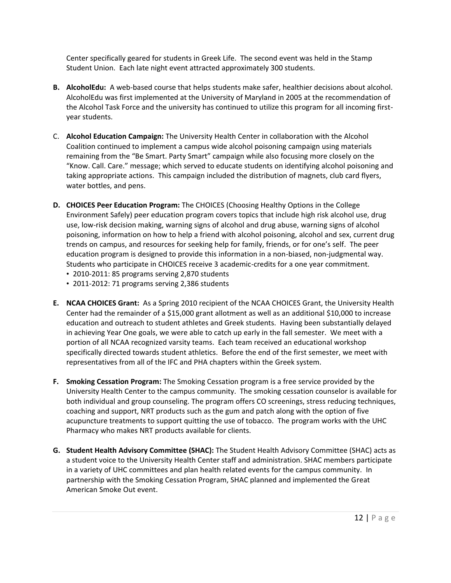Center specifically geared for students in Greek Life. The second event was held in the Stamp Student Union. Each late night event attracted approximately 300 students.

- **B. AlcoholEdu:** A web-based course that helps students make safer, healthier decisions about alcohol. AlcoholEdu was first implemented at the University of Maryland in 2005 at the recommendation of the Alcohol Task Force and the university has continued to utilize this program for all incoming firstyear students.
- C. **Alcohol Education Campaign:** The University Health Center in collaboration with the Alcohol Coalition continued to implement a campus wide alcohol poisoning campaign using materials remaining from the "Be Smart. Party Smart" campaign while also focusing more closely on the "Know. Call. Care." message; which served to educate students on identifying alcohol poisoning and taking appropriate actions. This campaign included the distribution of magnets, club card flyers, water bottles, and pens.
- **D. CHOICES Peer Education Program:** The CHOICES (Choosing Healthy Options in the College Environment Safely) peer education program covers topics that include high risk alcohol use, drug use, low-risk decision making, warning signs of alcohol and drug abuse, warning signs of alcohol poisoning, information on how to help a friend with alcohol poisoning, alcohol and sex, current drug trends on campus, and resources for seeking help for family, friends, or for one's self. The peer education program is designed to provide this information in a non-biased, non-judgmental way. Students who participate in CHOICES receive 3 academic-credits for a one year commitment.
	- 2010-2011: 85 programs serving 2,870 students
	- 2011-2012: 71 programs serving 2,386 students
- **E. NCAA CHOICES Grant:** As a Spring 2010 recipient of the NCAA CHOICES Grant, the University Health Center had the remainder of a \$15,000 grant allotment as well as an additional \$10,000 to increase education and outreach to student athletes and Greek students. Having been substantially delayed in achieving Year One goals, we were able to catch up early in the fall semester. We meet with a portion of all NCAA recognized varsity teams. Each team received an educational workshop specifically directed towards student athletics. Before the end of the first semester, we meet with representatives from all of the IFC and PHA chapters within the Greek system.
- **F. Smoking Cessation Program:** The Smoking Cessation program is a free service provided by the University Health Center to the campus community. The smoking cessation counselor is available for both individual and group counseling. The program offers CO screenings, stress reducing techniques, coaching and support, NRT products such as the gum and patch along with the option of five acupuncture treatments to support quitting the use of tobacco. The program works with the UHC Pharmacy who makes NRT products available for clients.
- **G. Student Health Advisory Committee (SHAC):** The Student Health Advisory Committee (SHAC) acts as a student voice to the University Health Center staff and administration. SHAC members participate in a variety of UHC committees and plan health related events for the campus community. In partnership with the Smoking Cessation Program, SHAC planned and implemented the Great American Smoke Out event.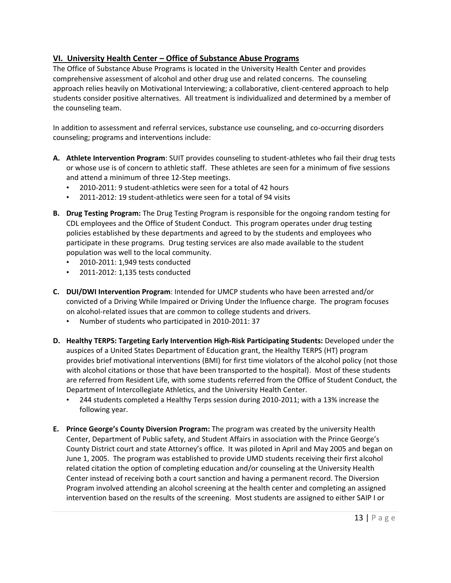## **VI. University Health Center – Office of Substance Abuse Programs**

The Office of Substance Abuse Programs is located in the University Health Center and provides comprehensive assessment of alcohol and other drug use and related concerns. The counseling approach relies heavily on Motivational Interviewing; a collaborative, client-centered approach to help students consider positive alternatives. All treatment is individualized and determined by a member of the counseling team.

In addition to assessment and referral services, substance use counseling, and co-occurring disorders counseling; programs and interventions include:

- **A. Athlete Intervention Program**: SUIT provides counseling to student-athletes who fail their drug tests or whose use is of concern to athletic staff. These athletes are seen for a minimum of five sessions and attend a minimum of three 12-Step meetings.
	- 2010-2011: 9 student-athletics were seen for a total of 42 hours
	- 2011-2012: 19 student-athletics were seen for a total of 94 visits
- **B. Drug Testing Program:** The Drug Testing Program is responsible for the ongoing random testing for CDL employees and the Office of Student Conduct. This program operates under drug testing policies established by these departments and agreed to by the students and employees who participate in these programs. Drug testing services are also made available to the student population was well to the local community.
	- 2010-2011: 1,949 tests conducted
	- 2011-2012: 1,135 tests conducted
- **C. DUI/DWI Intervention Program**: Intended for UMCP students who have been arrested and/or convicted of a Driving While Impaired or Driving Under the Influence charge. The program focuses on alcohol-related issues that are common to college students and drivers.
	- Number of students who participated in 2010-2011: 37
- **D. Healthy TERPS: Targeting Early Intervention High-Risk Participating Students:** Developed under the auspices of a United States Department of Education grant, the Healthy TERPS (HT) program provides brief motivational interventions (BMI) for first time violators of the alcohol policy (not those with alcohol citations or those that have been transported to the hospital). Most of these students are referred from Resident Life, with some students referred from the Office of Student Conduct, the Department of Intercollegiate Athletics, and the University Health Center.
	- 244 students completed a Healthy Terps session during 2010-2011; with a 13% increase the following year.
- **E. Prince George's County Diversion Program:** The program was created by the university Health Center, Department of Public safety, and Student Affairs in association with the Prince George's County District court and state Attorney's office. It was piloted in April and May 2005 and began on June 1, 2005. The program was established to provide UMD students receiving their first alcohol related citation the option of completing education and/or counseling at the University Health Center instead of receiving both a court sanction and having a permanent record. The Diversion Program involved attending an alcohol screening at the health center and completing an assigned intervention based on the results of the screening. Most students are assigned to either SAIP I or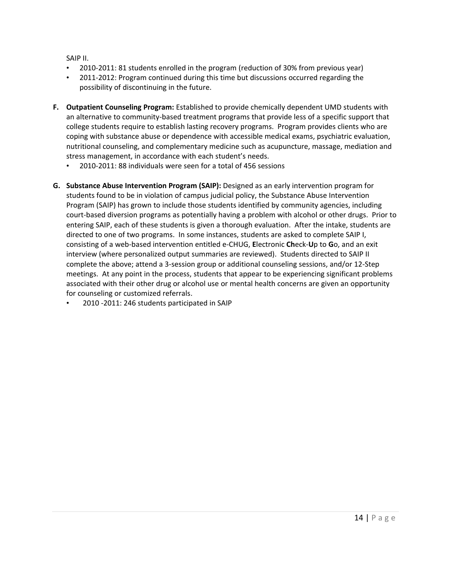SAIP II.

- 2010-2011: 81 students enrolled in the program (reduction of 30% from previous year)
- 2011-2012: Program continued during this time but discussions occurred regarding the possibility of discontinuing in the future.
- **F. Outpatient Counseling Program:** Established to provide chemically dependent UMD students with an alternative to community-based treatment programs that provide less of a specific support that college students require to establish lasting recovery programs. Program provides clients who are coping with substance abuse or dependence with accessible medical exams, psychiatric evaluation, nutritional counseling, and complementary medicine such as acupuncture, massage, mediation and stress management, in accordance with each student's needs.
	- 2010-2011: 88 individuals were seen for a total of 456 sessions
- **G. Substance Abuse Intervention Program (SAIP):** Designed as an early intervention program for students found to be in violation of campus judicial policy, the Substance Abuse Intervention Program (SAIP) has grown to include those students identified by community agencies, including court-based diversion programs as potentially having a problem with alcohol or other drugs. Prior to entering SAIP, each of these students is given a thorough evaluation. After the intake, students are directed to one of two programs. In some instances, students are asked to complete SAIP I, consisting of a web-based intervention entitled e-CHUG, **E**lectronic **Ch**eck-**U**p to **G**o, and an exit interview (where personalized output summaries are reviewed). Students directed to SAIP II complete the above; attend a 3-session group or additional counseling sessions, and/or 12-Step meetings. At any point in the process, students that appear to be experiencing significant problems associated with their other drug or alcohol use or mental health concerns are given an opportunity for counseling or customized referrals.
	- 2010 -2011: 246 students participated in SAIP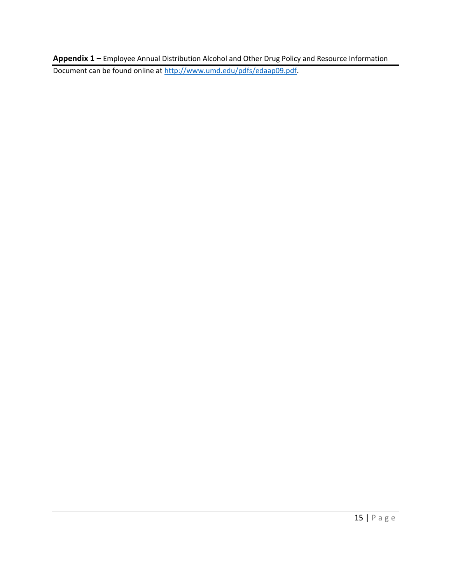**Appendix 1** – Employee Annual Distribution Alcohol and Other Drug Policy and Resource Information Document can be found online at [http://www.umd.edu/pdfs/edaap09.pdf.](http://www.umd.edu/pdfs/edaap09.pdf)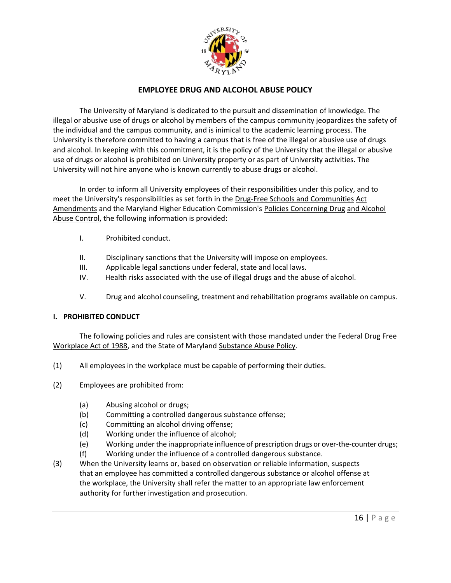

### **EMPLOYEE DRUG AND ALCOHOL ABUSE POLICY**

The University of Maryland is dedicated to the pursuit and dissemination of knowledge. The illegal or abusive use of drugs or alcohol by members of the campus community jeopardizes the safety of the individual and the campus community, and is inimical to the academic learning process. The University is therefore committed to having a campus that is free of the illegal or abusive use of drugs and alcohol. In keeping with this commitment, it is the policy of the University that the illegal or abusive use of drugs or alcohol is prohibited on University property or as part of University activities. The University will not hire anyone who is known currently to abuse drugs or alcohol.

In order to inform all University employees of their responsibilities under this policy, and to meet the University's responsibilities as set forth in the Drug-Free Schools and Communities Act Amendments and the Maryland Higher Education Commission's Policies Concerning Drug and Alcohol Abuse Control, the following information is provided:

- I. Prohibited conduct.
- II. Disciplinary sanctions that the University will impose on employees.
- III. Applicable legal sanctions under federal, state and local laws.
- IV. Health risks associated with the use of illegal drugs and the abuse of alcohol.
- V. Drug and alcohol counseling, treatment and rehabilitation programs available on campus.

#### **I. PROHIBITED CONDUCT**

The following policies and rules are consistent with those mandated under the Federal Drug Free Workplace Act of 1988, and the State of Maryland Substance Abuse Policy.

- (1) All employees in the workplace must be capable of performing their duties.
- (2) Employees are prohibited from:
	- (a) Abusing alcohol or drugs;
	- (b) Committing a controlled dangerous substance offense;
	- (c) Committing an alcohol driving offense;
	- (d) Working under the influence of alcohol;
	- (e) Working under the inappropriate influence of prescription drugs or over-the-counter drugs;
	- (f) Working under the influence of a controlled dangerous substance.
- (3) When the University learns or, based on observation or reliable information, suspects that an employee has committed a controlled dangerous substance or alcohol offense at the workplace, the University shall refer the matter to an appropriate law enforcement authority for further investigation and prosecution.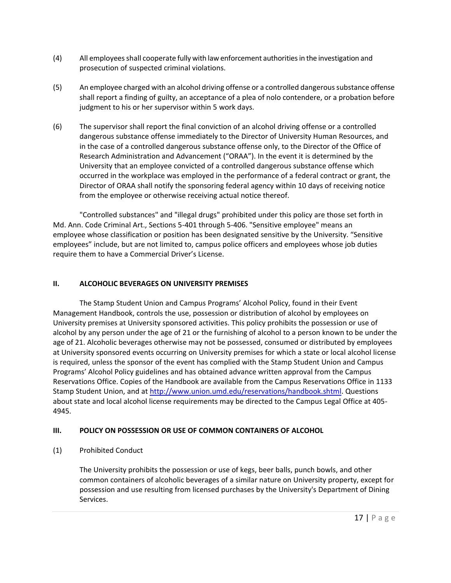- (4) All employees shall cooperate fully with law enforcement authorities in the investigation and prosecution of suspected criminal violations.
- (5) An employee charged with an alcohol driving offense or a controlled dangerous substance offense shall report a finding of guilty, an acceptance of a plea of nolo contendere, or a probation before judgment to his or her supervisor within 5 work days.
- (6) The supervisor shall report the final conviction of an alcohol driving offense or a controlled dangerous substance offense immediately to the Director of University Human Resources, and in the case of a controlled dangerous substance offense only, to the Director of the Office of Research Administration and Advancement ("ORAA"). In the event it is determined by the University that an employee convicted of a controlled dangerous substance offense which occurred in the workplace was employed in the performance of a federal contract or grant, the Director of ORAA shall notify the sponsoring federal agency within 10 days of receiving notice from the employee or otherwise receiving actual notice thereof.

"Controlled substances" and "illegal drugs" prohibited under this policy are those set forth in Md. Ann. Code Criminal Art., Sections 5-401 through 5-406. "Sensitive employee" means an employee whose classification or position has been designated sensitive by the University. "Sensitive employees" include, but are not limited to, campus police officers and employees whose job duties require them to have a Commercial Driver's License.

## **II. ALCOHOLIC BEVERAGES ON UNIVERSITY PREMISES**

The Stamp Student Union and Campus Programs' Alcohol Policy, found in their Event Management Handbook, controls the use, possession or distribution of alcohol by employees on University premises at University sponsored activities. This policy prohibits the possession or use of alcohol by any person under the age of 21 or the furnishing of alcohol to a person known to be under the age of 21. Alcoholic beverages otherwise may not be possessed, consumed or distributed by employees at University sponsored events occurring on University premises for which a state or local alcohol license is required, unless the sponsor of the event has complied with the Stamp Student Union and Campus Programs' Alcohol Policy guidelines and has obtained advance written approval from the Campus Reservations Office. Copies of the Handbook are available from the Campus Reservations Office in 1133 Stamp Student Union, and at http://www.union.umd.edu/reservations/handbook.shtml. Questions about state and local alcohol license requirements may be directed to the Campus Legal Office at 405- 4945.

## **III. POLICY ON POSSESSION OR USE OF COMMON CONTAINERS OF ALCOHOL**

(1) Prohibited Conduct

The University prohibits the possession or use of kegs, beer balls, punch bowls, and other common containers of alcoholic beverages of a similar nature on University property, except for possession and use resulting from licensed purchases by the University's Department of Dining Services.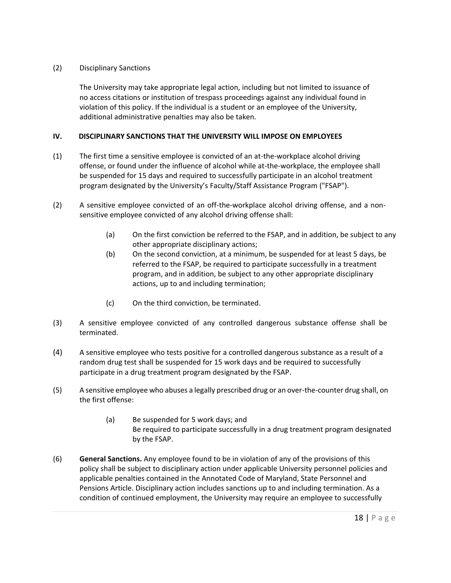#### (2) Disciplinary Sanctions

The University may take appropriate legal action, including but not limited to issuance of no access citations or institution of trespass proceedings against any individual found in violation of this policy. If the individual is a student or an employee of the University, additional administrative penalties may also be taken.

### **IV. DISCIPLINARY SANCTIONS THAT THE UNIVERSITY WILL IMPOSE ON EMPLOYEES**

- (1) The first time a sensitive employee is convicted of an at-the-workplace alcohol driving offense, or found under the influence of alcohol while at-the-workplace, the employee shall be suspended for 15 days and required to successfully participate in an alcohol treatment program designated by the University's Faculty/Staff Assistance Program ("FSAP").
- (2) A sensitive employee convicted of an off-the-workplace alcohol driving offense, and a nonsensitive employee convicted of any alcohol driving offense shall:
	- (a) On the first conviction be referred to the FSAP, and in addition, be subject to any other appropriate disciplinary actions;
	- (b) On the second conviction, at a minimum, be suspended for at least 5 days, be referred to the FSAP, be required to participate successfully in a treatment program, and in addition, be subject to any other appropriate disciplinary actions, up to and including termination;
	- (c) On the third conviction, be terminated.
- (3) A sensitive employee convicted of any controlled dangerous substance offense shall be terminated.
- (4) A sensitive employee who tests positive for a controlled dangerous substance as a result of a random drug test shall be suspended for 15 work days and be required to successfully participate in a drug treatment program designated by the FSAP.
- (5) A sensitive employee who abuses a legally prescribed drug or an over-the-counter drug shall, on the first offense:
	- (a) Be suspended for 5 work days; and Be required to participate successfully in a drug treatment program designated by the FSAP.
- (6) **General Sanctions.** Any employee found to be in violation of any of the provisions of this policy shall be subject to disciplinary action under applicable University personnel policies and applicable penalties contained in the Annotated Code of Maryland, State Personnel and Pensions Article. Disciplinary action includes sanctions up to and including termination. As a condition of continued employment, the University may require an employee to successfully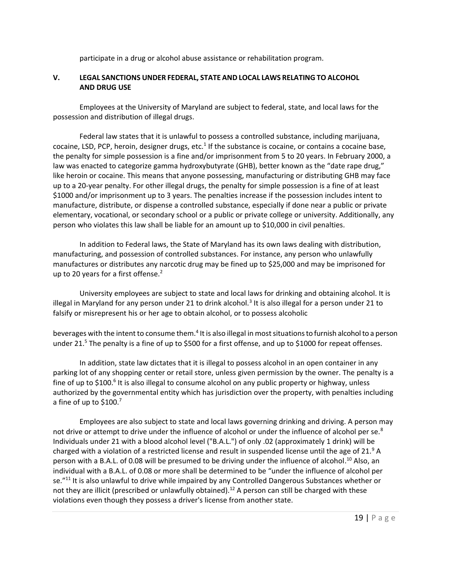participate in a drug or alcohol abuse assistance or rehabilitation program.

#### **V. LEGAL SANCTIONS UNDER FEDERAL, STATE AND LOCAL LAWS RELATING TO ALCOHOL AND DRUG USE**

Employees at the University of Maryland are subject to federal, state, and local laws for the possession and distribution of illegal drugs.

Federal law states that it is unlawful to possess a controlled substance, including marijuana, cocaine, LSD, PCP, heroin, designer drugs, etc. $<sup>1</sup>$  If the substance is cocaine, or contains a cocaine base,</sup> the penalty for simple possession is a fine and/or imprisonment from 5 to 20 years. In February 2000, a law was enacted to categorize gamma hydroxybutyrate (GHB), better known as the "date rape drug," like heroin or cocaine. This means that anyone possessing, manufacturing or distributing GHB may face up to a 20-year penalty. For other illegal drugs, the penalty for simple possession is a fine of at least \$1000 and/or imprisonment up to 3 years. The penalties increase if the possession includes intent to manufacture, distribute, or dispense a controlled substance, especially if done near a public or private elementary, vocational, or secondary school or a public or private college or university. Additionally, any person who violates this law shall be liable for an amount up to \$10,000 in civil penalties.

In addition to Federal laws, the State of Maryland has its own laws dealing with distribution, manufacturing, and possession of controlled substances. For instance, any person who unlawfully manufactures or distributes any narcotic drug may be fined up to \$25,000 and may be imprisoned for up to 20 years for a first offense.<sup>2</sup>

University employees are subject to state and local laws for drinking and obtaining alcohol. It is illegal in Maryland for any person under 21 to drink alcohol.<sup>3</sup> It is also illegal for a person under 21 to falsify or misrepresent his or her age to obtain alcohol, or to possess alcoholic

beverages with the intent to consume them.<sup>4</sup> It is also illegal in most situations to furnish alcohol to a person under 21.<sup>5</sup> The penalty is a fine of up to \$500 for a first offense, and up to \$1000 for repeat offenses.

In addition, state law dictates that it is illegal to possess alcohol in an open container in any parking lot of any shopping center or retail store, unless given permission by the owner. The penalty is a fine of up to \$100.<sup>6</sup> It is also illegal to consume alcohol on any public property or highway, unless authorized by the governmental entity which has jurisdiction over the property, with penalties including a fine of up to \$100.7

Employees are also subject to state and local laws governing drinking and driving. A person may not drive or attempt to drive under the influence of alcohol or under the influence of alcohol per se.<sup>8</sup> Individuals under 21 with a blood alcohol level ("B.A.L.") of only .02 (approximately 1 drink) will be charged with a violation of a restricted license and result in suspended license until the age of 21.<sup>9</sup> A person with a B.A.L. of 0.08 will be presumed to be driving under the influence of alcohol.<sup>10</sup> Also, an individual with a B.A.L. of 0.08 or more shall be determined to be "under the influence of alcohol per se."<sup>11</sup> It is also unlawful to drive while impaired by any Controlled Dangerous Substances whether or not they are illicit (prescribed or unlawfully obtained).<sup>12</sup> A person can still be charged with these violations even though they possess a driver's license from another state.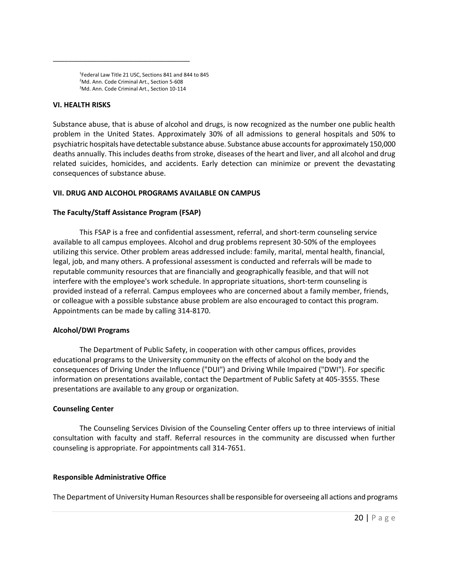1 Federal Law Title 21 USC, Sections 841 and 844 to 845 <sup>2</sup>Md. Ann. Code Criminal Art., Section 5-608 <sup>3</sup>Md. Ann. Code Criminal Art., Section 10-114

\_\_\_\_\_\_\_\_\_\_\_\_\_\_\_\_\_\_\_\_\_\_\_\_\_\_\_\_\_\_\_\_\_\_\_\_

#### **VI. HEALTH RISKS**

Substance abuse, that is abuse of alcohol and drugs, is now recognized as the number one public health problem in the United States. Approximately 30% of all admissions to general hospitals and 50% to psychiatric hospitals have detectable substance abuse. Substance abuse accounts for approximately 150,000 deaths annually. This includes deaths from stroke, diseases of the heart and liver, and all alcohol and drug related suicides, homicides, and accidents. Early detection can minimize or prevent the devastating consequences of substance abuse.

#### **VII. DRUG AND ALCOHOL PROGRAMS AVAILABLE ON CAMPUS**

#### **The Faculty/Staff Assistance Program (FSAP)**

This FSAP is a free and confidential assessment, referral, and short-term counseling service available to all campus employees. Alcohol and drug problems represent 30-50% of the employees utilizing this service. Other problem areas addressed include: family, marital, mental health, financial, legal, job, and many others. A professional assessment is conducted and referrals will be made to reputable community resources that are financially and geographically feasible, and that will not interfere with the employee's work schedule. In appropriate situations, short-term counseling is provided instead of a referral. Campus employees who are concerned about a family member, friends, or colleague with a possible substance abuse problem are also encouraged to contact this program. Appointments can be made by calling 314-8170.

#### **Alcohol/DWI Programs**

The Department of Public Safety, in cooperation with other campus offices, provides educational programs to the University community on the effects of alcohol on the body and the consequences of Driving Under the Influence ("DUI") and Driving While Impaired ("DWI"). For specific information on presentations available, contact the Department of Public Safety at 405-3555. These presentations are available to any group or organization.

#### **Counseling Center**

The Counseling Services Division of the Counseling Center offers up to three interviews of initial consultation with faculty and staff. Referral resources in the community are discussed when further counseling is appropriate. For appointments call 314-7651.

#### **Responsible Administrative Office**

The Department of University Human Resources shall be responsible for overseeing all actions and programs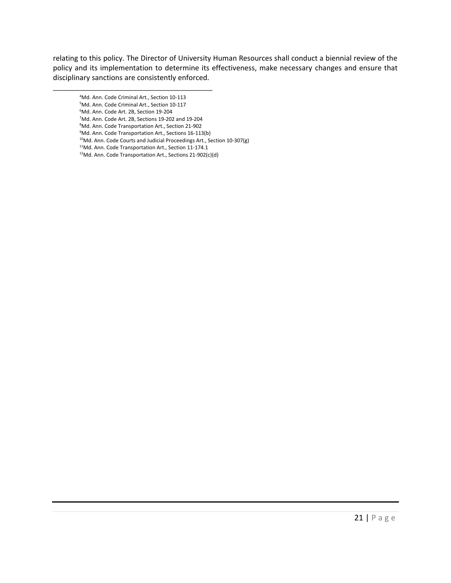relating to this policy. The Director of University Human Resources shall conduct a biennial review of the policy and its implementation to determine its effectiveness, make necessary changes and ensure that disciplinary sanctions are consistently enforced.

- \_\_\_\_\_\_\_\_\_\_\_\_\_\_\_\_\_\_\_\_\_\_\_\_\_\_\_\_\_\_\_\_\_\_\_\_\_\_\_\_\_\_\_\_ <sup>4</sup>Md. Ann. Code Criminal Art., Section 10-113
	- <sup>5</sup>Md. Ann. Code Criminal Art., Section 10-117
	- <sup>6</sup>Md. Ann. Code Art. 2B, Section 19-204
	- <sup>7</sup>Md. Ann. Code Art. 2B, Sections 19-202 and 19-204
	- <sup>8</sup>Md. Ann. Code Transportation Art., Section 21-902
	- <sup>9</sup>Md. Ann. Code Transportation Art., Sections 16-113(b)
	- <sup>10</sup>Md. Ann. Code Courts and Judicial Proceedings Art., Section 10-307(g)
	- <sup>11</sup>Md. Ann. Code Transportation Art., Section 11-174.1
	- 12Md. Ann. Code Transportation Art., Sections 21-902(c)(d)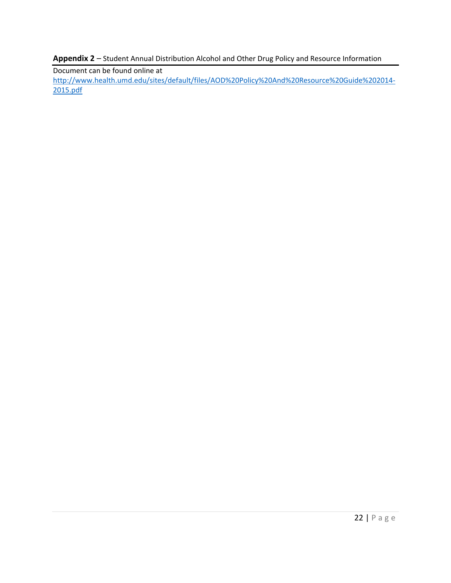**Appendix 2** – Student Annual Distribution Alcohol and Other Drug Policy and Resource Information

Document can be found online at [http://www.health.umd.edu/sites/default/files/AOD%20Policy%20And%20Resource%20Guide%202014-](http://www.health.umd.edu/sites/default/files/AOD%20Policy%20And%20Resource%20Guide%202014-2015.pdf) [2015.pdf](http://www.health.umd.edu/sites/default/files/AOD%20Policy%20And%20Resource%20Guide%202014-2015.pdf)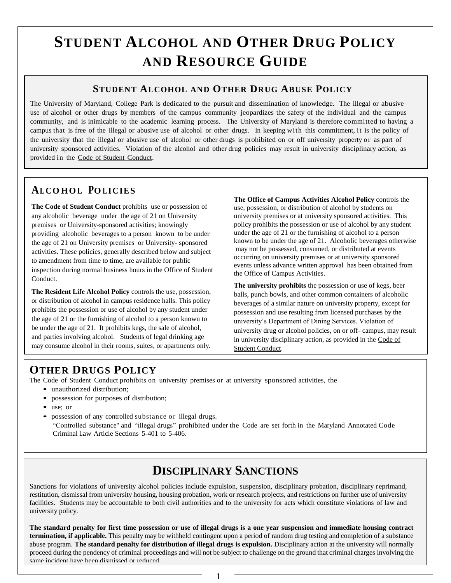# **STUDENT ALCOHOL AND OTHER DRUG POLICY AND RESOURCE GUIDE**

## **STUDENT ALCOHOL AND OTHER DRUG ABUSE POLICY**

The University of Maryland, College Park is dedicated to the pursuit and dissemination of knowledge. The illegal or abusive use of alcohol or other drugs by members of the campus community jeopardizes the safety of the individual and the campus community, and is inimicable to the academic learning process. The University of Maryland is therefore committed to having a campus that is free of the illegal or abusive use of alcohol or other drugs. In keeping with this commitment, it is the policy of the university that the illegal or abusive use of alcohol or other drugs is prohibited on or off university property or as part of university sponsored activities. Violation of the alcohol and other drug policies may result in university disciplinary action, as provided in the Code of Student Conduct.

# **A<sup>L</sup> CO HO <sup>L</sup>PO <sup>L</sup> ICIES**

**The Code of Student Conduct** prohibits use or possession of any alcoholic beverage under the age of 21 on University premises or University-sponsored activities; knowingly providing alcoholic beverages to a person known to be under the age of 21 on University premises or University- sponsored activities. These policies, generally described below and subject to amendment from time to time, are available for public inspection during normal business hours in the Office of Student Conduct.

**The Resident Life Alcohol Policy** controls the use, possession, or distribution of alcohol in campus residence halls. This policy prohibits the possession or use of alcohol by any student under the age of 21 or the furnishing of alcohol to a person known to be under the age of 21. It prohibits kegs, the sale of alcohol, and parties involving alcohol. Students of legal drinking age may consume alcohol in their rooms, suites, or apartments only.

**The Office of Campus Activities Alcohol Policy** controls the use, possession, or distribution of alcohol by students on university premises or at university sponsored activities. This policy prohibits the possession or use of alcohol by any student under the age of 21 or the furnishing of alcohol to a person known to be under the age of 21. Alcoholic beverages otherwise may not be possessed, consumed, or distributed at events occurring on university premises or at university sponsored events unless advance written approval has been obtained from the Office of Campus Activities.

**The university prohibits** the possession or use of kegs, beer balls, punch bowls, and other common containers of alcoholic beverages of a similar nature on university property, except for possession and use resulting from licensed purchases by the university's Department of Dining Services. Violation of university drug or alcohol policies, on or off- campus, may result in university disciplinary action, as provided in the Code of Student Conduct.

# **OTHER DRUGS POLICY**

The Code of Student Conduct prohibits on university premises or at university sponsored activities, the

- unauthorized distribution:
- possession for purposes of distribution;
- use; or
- possession of any controlled substance or illegal drugs. "Controlled substance" and "illegal drugs" prohibited under the Code are set forth in the Maryland Annotated Code Criminal Law Article Sections 5-401 to 5-406.

# **DISCIPLINARY SANCTIONS**

Sanctions for violations of university alcohol policies include expulsion, suspension, disciplinary probation, disciplinary reprimand, restitution, dismissal from university housing, housing probation, work or research projects, and restrictions on further use of university facilities. Students may be accountable to both civil authorities and to the university for acts which constitute violations of law and university policy.

**The standard penalty for first time possession or use of illegal drugs is a one year suspension and immediate housing contract termination, if applicable.** This penalty may be withheld contingent upon a period of random drug testing and completion of a substance abuse program. **The standard penalty for distribution of illegal drugs is expulsion.** Disciplinary action at the university will normally proceed during the pendency of criminal proceedings and will not be subject to challenge on the ground that criminal charges involving the same incident have been dismissed or reduced.

1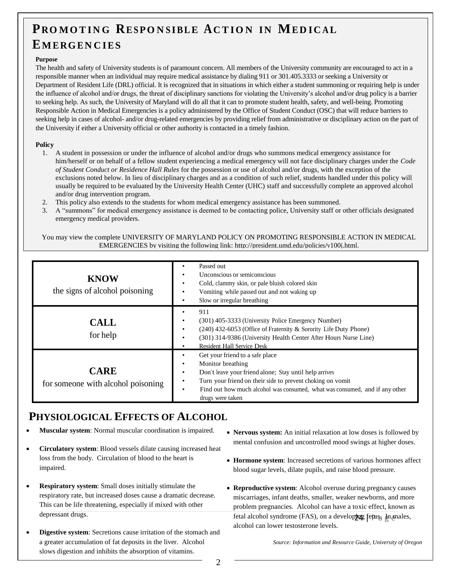# **PRO MO T IN G RESPO N <sup>S</sup> IBLE AC T IO N IN MED IC <sup>A</sup> L**

# **EMERGEN C IES**

#### **Purpose**

The health and safety of University students is of paramount concern. All members of the University community are encouraged to act in a responsible manner when an individual may require medical assistance by dialing 911 or 301.405.3333 or seeking a University or Department of Resident Life (DRL) official. It is recognized that in situations in which either a student summoning or requiring help is under the influence of alcohol and/or drugs, the threat of disciplinary sanctions for violating the University's alcohol and/or drug policy is a barrier to seeking help. As such, the University of Maryland will do all that it can to promote student health, safety, and well-being. Promoting Responsible Action in Medical Emergencies is a policy administered by the Office of Student Conduct (OSC) that will reduce barriers to seeking help in cases of alcohol- and/or drug-related emergencies by providing relief from administrative or disciplinary action on the part of the University if either a University official or other authority is contacted in a timely fashion.

#### **Policy**

- 1. A student in possession or under the influence of alcohol and/or drugs who summons medical emergency assistance for him/herself or on behalf of a fellow student experiencing a medical emergency will not face disciplinary charges under the *Code of Student Conduct or Residence Hall Rules* for the possession or use of alcohol and/or drugs, with the exception of the exclusions noted below. In lieu of disciplinary charges and as a condition of such relief, students handled under this policy will usually be required to be evaluated by the University Health Center (UHC) staff and successfully complete an approved alcohol and/or drug intervention program.
- 2. This policy also extends to the students for whom medical emergency assistance has been summoned.
- 3. A "summons" for medical emergency assistance is deemed to be contacting police, University staff or other officials designated emergency medical providers.

You may view the complete UNIVERSITY OF MARYLAND POLICY ON PROMOTING RESPONSIBLE ACTION IN MEDICAL EMERGENCIES by visiting the following link: [http://president.umd.edu/policies/v100j.html.](http://president.umd.edu/policies/v100j.html)

| <b>KNOW</b><br>the signs of alcohol poisoning     | Passed out<br>Unconscious or semiconscious<br>Cold, clammy skin, or pale bluish colored skin<br>$\bullet$<br>Vomiting while passed out and not waking up<br>Slow or irregular breathing                                                                                                                   |
|---------------------------------------------------|-----------------------------------------------------------------------------------------------------------------------------------------------------------------------------------------------------------------------------------------------------------------------------------------------------------|
| <b>CALL</b><br>for help                           | 911<br>(301) 405-3333 (University Police Emergency Number)<br>$\bullet$<br>(240) 432-6053 (Office of Fraternity & Sorority Life Duty Phone)<br>$\bullet$<br>(301) 314-9386 (University Health Center After Hours Nurse Line)<br><b>Resident Hall Service Desk</b>                                         |
| <b>CARE</b><br>for someone with alcohol poisoning | Get your friend to a safe place<br>Monitor breathing<br>$\bullet$<br>Don't leave your friend alone; Stay until help arrives<br>Turn your friend on their side to prevent choking on vomit<br>Find out how much alcohol was consumed, what was consumed, and if any other<br>$\bullet$<br>drugs were taken |

## **PHYSIOLOGICAL EFFECTS OF ALCOHOL**

- **Muscular system**: Normal muscular coordination is impaired.
- **Circulatory system**: Blood vessels dilate causing increased heat loss from the body. Circulation of blood to the heart is impaired.
- **Respiratory system**: Small doses initially stimulate the respiratory rate, but increased doses cause a dramatic decrease. This can be life threatening, especially if mixed with other depressant drugs.
- **Digestive system**: Secretions cause irritation of the stomach and a greater accumulation of fat deposits in the liver. Alcohol slows digestion and inhibits the absorption of vitamins.
- **Nervous system:** An initial relaxation at low doses is followed by mental confusion and uncontrolled mood swings at higher doses.
- **Hormone system**: Increased secretions of various hormones affect blood sugar levels, dilate pupils, and raise blood pressure.
- fetal alcohol syndrome (FAS), on a develop**jng** fetus<sub>a</sub> In<sub>d</sub>anales, **Reproductive system**: Alcohol overuse during pregnancy causes miscarriages, infant deaths, smaller, weaker newborns, and more problem pregnancies. Alcohol can have a toxic effect, known as alcohol can lower testosterone levels.

*Source: Information and Resource Guide, University of Oregon*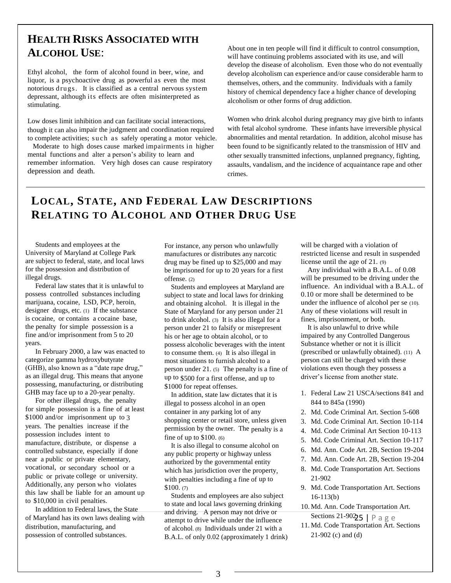# **HEALTH RISKS ASSOCIATED WITH ALCOHOL USE**:

Ethyl alcohol, the form of alcohol found in beer, wine, and liquor, is a psychoactive drug as powerful as even the most notorious drugs. It is classified as a central nervous system depressant, although its effects are often misinterpreted as stimulating.

Low doses limit inhibition and can facilitate social interactions, though it can also impair the judgment and coordination required to complete activities; such as safely operating a motor vehicle.

 Moderate to high doses cause marked impairments in higher mental functions and alter a person's ability to learn and remember information. Very high doses can cause respiratory depression and death.

About one in ten people will find it difficult to control consumption, will have continuing problems associated with its use, and will develop the disease of alcoholism. Even those who do not eventually develop alcoholism can experience and/or cause considerable harm to themselves, others, and the community. Individuals with a family history of chemical dependency face a higher chance of developing alcoholism or other forms of drug addiction.

Women who drink alcohol during pregnancy may give birth to infants with fetal alcohol syndrome. These infants have irreversible physical abnormalities and mental retardation. In addition, alcohol misuse has been found to be significantly related to the transmission of HIV and other sexually transmitted infections, unplanned pregnancy, fighting, assaults, vandalism, and the incidence of acquaintance rape and other crimes.

# **LOCAL, STATE, AND FEDERAL LAW DESCRIPTIONS RELATING TO ALCOHOL AND OTHER DRUG USE**

Students and employees at the University of Maryland at College Park are subject to federal, state, and local laws for the possession and distribution of illegal drugs.

 $\overline{a}$ 

Federal law states that it is unlawful to possess controlled substances including marijuana, cocaine, LSD, PCP, heroin, designer drugs, etc. (1) If the substance is cocaine, or contains a cocaine base, the penalty for simple possession is a fine and/or imprisonment from 5 to 20 years.

In February 2000, a law was enacted to categorize gamma hydroxybutyrate (GHB), also known as a "date rape drug," as an illegal drug. This means that anyone possessing, manufacturing, or distributing GHB may face up to a 20-year penalty.

For other illegal drugs, the penalty for simple possession is a fine of at least \$1000 and/or imprisonment up to 3 years. The penalties increase if the possession includes intent to manufacture, distribute, or dispense a controlled substance, especially if done near a public or private elementary, vocational, or secondary school or a public or private college or university. Additionally, any person who violates this law shall be liable for an amount up to \$10,000 in civil penalties.

In addition to Federal laws, the State of Maryland has its own laws dealing with distribution, manufacturing, and possession of controlled substances.

For instance, any person who unlawfully manufactures or distributes any narcotic drug may be fined up to \$25,000 and may be imprisoned for up to 20 years for a first offense. (2)

Students and employees at Maryland are subject to state and local laws for drinking and obtaining alcohol. It is illegal in the State of Maryland for any person under 21 to drink alcohol. (3) It is also illegal for a person under 21 to falsify or misrepresent his or her age to obtain alcohol, or to possess alcoholic beverages with the intent to consume them. (4) It is also illegal in most situations to furnish alcohol to a person under 21. (5) The penalty is a fine of up to \$500 for a first offense, and up to \$1000 for repeat offenses.

In addition, state law dictates that it is illegal to possess alcohol in an open container in any parking lot of any shopping center or retail store, unless given permission by the owner. The penalty is a fine of up to \$100. (6)

It is also illegal to consume alcohol on any public property or highway unless authorized by the governmental entity which has jurisdiction over the property, with penalties including a fine of up to \$100. (7)

Students and employees are also subject to state and local laws governing drinking and driving. A person may not drive or attempt to drive while under the influence of alcohol. (8) Individuals under 21 with a B.A.L. of only 0.02 (approximately 1 drink) will be charged with a violation of restricted license and result in suspended license until the age of 21. (9)

Any individual with a B.A.L. of 0.08 will be presumed to be driving under the influence. An individual with a B.A.L. of 0.10 or more shall be determined to be under the influence of alcohol per se (10). Any of these violations will result in fines, imprisonment, or both.

It is also unlawful to drive while impaired by any Controlled Dangerous Substance whether or not it is illicit (prescribed or unlawfully obtained). (11) A person can still be charged with these violations even though they possess a driver's license from another state.

- 1. Federal Law 21 USCA/sections 841 and 844 to 845a (1990)
- 2. Md. Code Criminal Art. Section 5-608
- 3. Md. Code Criminal Art. Section 10-114
- 4. Md. Code Criminal Art Section 10-113
- 5. Md. Code Criminal Art. Section 10-117
- 6. Md. Ann. Code Art. 2B, Section 19-204
- 7. Md. Ann. Code Art. 2B, Section 19-204
- 8. Md. Code Transportation Art. Sections 21-902
- 9. Md. Code Transportation Art. Sections 16-113(b)
- Sections 21-9025 | P a g e 10. Md. Ann. Code Transportation Art.
- 11. Md. Code Transportation Art. Sections 21-902 (c) and (d)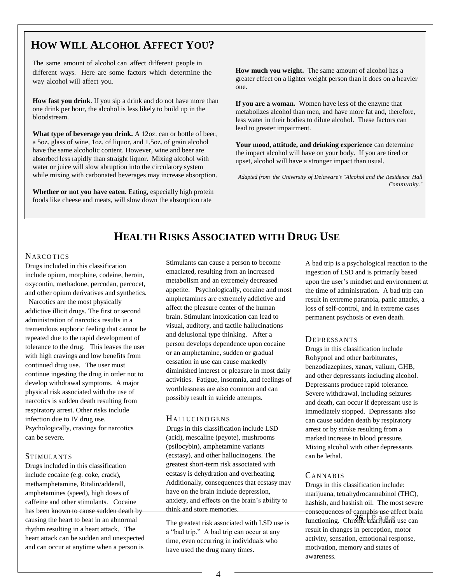# **HOW WILL ALCOHOL AFFECT YOU?**

The same amount of alcohol can affect different people in different ways. Here are some factors which determine the way alcohol will affect you.

**How fast you drink**. If you sip a drink and do not have more than one drink per hour, the alcohol is less likely to build up in the bloodstream.

**What type of beverage you drink.** A 12oz. can or bottle of beer, a 5oz. glass of wine, 1oz. of liquor, and 1.5oz. of grain alcohol have the same alcoholic content. However, wine and beer are absorbed less rapidly than straight liquor. Mixing alcohol with water or juice will slow abruption into the circulatory system while mixing with carbonated beverages may increase absorption.

**Whether or not you have eaten.** Eating, especially high protein foods like cheese and meats, will slow down the absorption rate

**How much you weight.** The same amount of alcohol has a greater effect on a lighter weight person than it does on a heavier one.

**If you are a woman.** Women have less of the enzyme that metabolizes alcohol than men, and have more fat and, therefore, less water in their bodies to dilute alcohol. These factors can lead to greater impairment.

**Your mood, attitude, and drinking experience** can determine the impact alcohol will have on your body. If you are tired or upset, alcohol will have a stronger impact than usual.

*Adapted from the University of Delaware's "Alcohol and the Residence Hall Community."*

# **HEALTH RISKS ASSOCIATED WITH DRUG USE**

#### **NARCOTICS**

Drugs included in this classification include opium, morphine, codeine, heroin, oxycontin, methadone, percodan, percocet, and other opium derivatives and synthetics.

 Narcotics are the most physically addictive illicit drugs. The first or second administration of narcotics results in a tremendous euphoric feeling that cannot be repeated due to the rapid development of tolerance to the drug. This leaves the user with high cravings and low benefits from continued drug use. The user must continue ingesting the drug in order not to develop withdrawal symptoms. A major physical risk associated with the use of narcotics is sudden death resulting from respiratory arrest. Other risks include infection due to IV drug use. Psychologically, cravings for narcotics can be severe.

#### STIMULANTS

using cocaine.

Drugs included in this classification include cocaine (e.g. coke, crack), methamphetamine, Ritalin/adderall, amphetamines (speed), high doses of caffeine and other stimulants. Cocaine has been known to cause sudden death by causing the heart to beat in an abnormal rhythm resulting in a heart attack. The heart attack can be sudden and unexpected and can occur at anytime when a person is

Stimulants can cause a person to become emaciated, resulting from an increased metabolism and an extremely decreased appetite. Psychologically, cocaine and most amphetamines are extremely addictive and affect the pleasure center of the human brain. Stimulant intoxication can lead to visual, auditory, and tactile hallucinations and delusional type thinking. After a person develops dependence upon cocaine or an amphetamine, sudden or gradual cessation in use can cause markedly diminished interest or pleasure in most daily activities. Fatigue, insomnia, and feelings of worthlessness are also common and can possibly result in suicide attempts.

#### HALLUCINO GENS

Drugs in this classification include LSD (acid), mescaline (peyote), mushrooms (psilocybin), amphetamine variants (ecstasy), and other hallucinogens. The greatest short-term risk associated with ecstasy is dehydration and overheating. Additionally, consequences that ecstasy may have on the brain include depression, anxiety, and effects on the brain's ability to think and store memories.

The greatest risk associated with LSD use is a "bad trip." A bad trip can occur at any time, even occurring in individuals who have used the drug many times.

A bad trip is a psychological reaction to the ingestion of LSD and is primarily based upon the user's mindset and environment at the time of administration. A bad trip can result in extreme paranoia, panic attacks, a loss of self-control, and in extreme cases permanent psychosis or even death.

#### **DEPRESSANTS**

Drugs in this classification include Rohypnol and other barbiturates, benzodiazepines, xanax, valium, GHB, and other depressants including alcohol. Depressants produce rapid tolerance. Severe withdrawal, including seizures and death, can occur if depressant use is immediately stopped. Depressants also can cause sudden death by respiratory arrest or by stroke resulting from a marked increase in blood pressure. Mixing alcohol with other depressants can be lethal.

#### **CANNABIS**

 $\frac{1}{2}$  functioning. Chronic marifulana use can Drugs in this classification include: marijuana, tetrahydrocannabinol (THC), hashish, and hashish oil. The most severe consequences of cannabis use affect brain result in changes in perception, motor activity, sensation, emotional response, motivation, memory and states of awareness.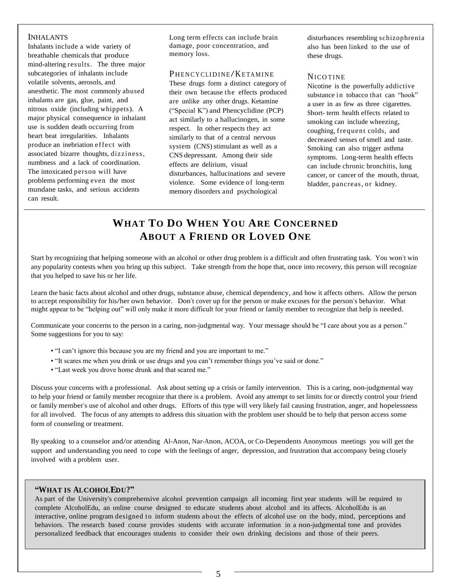#### INHALANTS

Inhalants include a wide variety of breathable chemicals that produce mind-altering results. The three major subcategories of inhalants include volatile solvents, aerosols, and anesthetic. The most commonly abused inhalants are gas, glue, paint, and nitrous oxide (including whippets). A major physical consequence in inhalant use is sudden death occurring from heart beat irregularities. Inhalants produce an inebriation effect with associated bizarre thoughts, dizziness, numbness and a lack of coordination. The intoxicated person will have problems performing even the most mundane tasks, and serious accidents can result.

Long term effects can include brain damage, poor concentration, and memory loss.

#### PHENCYCLIDINE/KETAMINE

These drugs form a distinct category of their own because the effects produced are unlike any other drugs. Ketamine ("Special K") and Phencyclidine (PCP) act similarly to a hallucinogen, in some respect. In other respects they act similarly to that of a central nervous system (CNS) stimulant as well as a CNS depressant. Among their side effects are delirium, visual disturbances, hallucinations and severe violence. Some evidence of long-term memory disorders and psychological

disturbances resembling schizophrenia also has been linked to the use of these drugs.

#### **NICO TINE**

Nicotine is the powerfully addictive substance in tobacco that can "hook" a user in as few as three cigarettes. Short- term health effects related to smoking can include wheezing, coughing, frequent colds, and decreased senses of smell and taste. Smoking can also trigger asthma symptoms. Long-term health effects can include chronic bronchitis, lung cancer, or cancer of the mouth, throat, bladder, pancreas, or kidney.

## **WHAT TO DO WHEN YOU ARE CONCERNED ABOUT A FRIEND OR LOVED ONE**

Start by recognizing that helping someone with an alcohol or other drug problem is a difficult and often frustrating task. You won't win any popularity contests when you bring up this subject. Take strength from the hope that, once into recovery, this person will recognize that you helped to save his or her life.

Learn the basic facts about alcohol and other drugs, substance abuse, chemical dependency, and how it affects others. Allow the person to accept responsibility for his/her own behavior. Don't cover up for the person or make excuses for the person's behavior. What might appear to be "helping out" will only make it more difficult for your friend or family member to recognize that help is needed.

Communicate your concerns to the person in a caring, non-judgmental way. Your message should be "I care about you as a person." Some suggestions for you to say:

- "I can't ignore this because you are my friend and you are important to me."
- "It scares me when you drink or use drugs and you can't remember things you've said or done."
- "Last week you drove home drunk and that scared me."

Discuss your concerns with a professional. Ask about setting up a crisis or family intervention. This is a caring, non-judgmental way to help your friend or family member recognize that there is a problem. Avoid any attempt to set limits for or directly control your friend or family member's use of alcohol and other drugs. Efforts of this type will very likely fail causing frustration, anger, and hopelessness for all involved. The focus of any attempts to address this situation with the problem user should be to help that person access some form of counseling or treatment.

By speaking to a counselor and/or attending Al-Anon, Nar-Anon, ACOA, or Co-Dependents Anonymous meetings you will get the support and understanding you need to cope with the feelings of anger, depression, and frustration that accompany being closely involved with a problem user.

#### **"WHAT IS ALCOHOLEDU?"**

interactive, online program designed to inform students about the effects of alcohol use on the body, mind, perceptions and As part of the University's comprehensive alcohol prevention campaign all incoming first year students will be required to complete AlcoholEdu, an online course designed to educate students about alcohol and its affects. AlcoholEdu is an behaviors. The research based course provides students with accurate information in a non-judgmental tone and provides personalized feedback that encourages students to consider their own drinking decisions and those of their peers.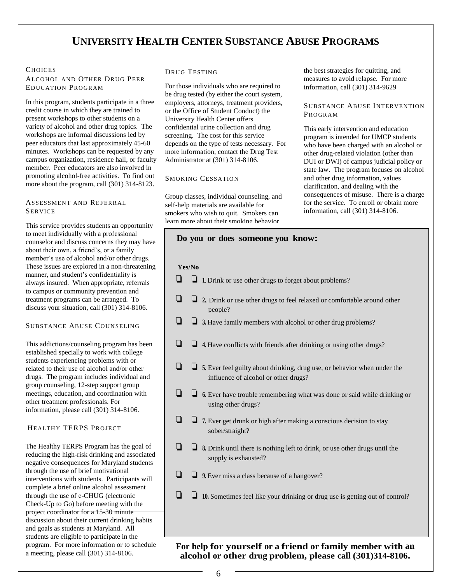# **UNIVERSITY HEALTH CENTER SUBSTANCE ABUSE PROGRAMS**

#### **CHOICES**

ALCOHOL AND OTHER DRUG PEER EDUCATION PROGRAM

In this program, students participate in a three credit course in which they are trained to present workshops to other students on a variety of alcohol and other drug topics. The workshops are informal discussions led by peer educators that last approximately 45-60 minutes. Workshops can be requested by any campus organization, residence hall, or faculty member. Peer educators are also involved in promoting alcohol-free activities. To find out more about the program, call (301) 314-8123.

#### ASSESSMENT AND REFERRAL SERVICE

This service provides students an opportunity to meet individually with a professional counselor and discuss concerns they may have about their own, a friend's, or a family member's use of alcohol and/or other drugs. These issues are explored in a non-threatening manner, and student's confidentiality is always insured. When appropriate, referrals to campus or community prevention and treatment programs can be arranged. To discuss your situation, call (301) 314-8106.

#### SUBSTANCE ABUSE COUNSELING

This addictions/counseling program has been established specially to work with college students experiencing problems with or related to their use of alcohol and/or other drugs. The program includes individual and group counseling, 12-step support group meetings, education, and coordination with other treatment professionals. For information, please call (301) 314-8106.

#### HEALTHY TERPS PROJECT

The Healthy TERPS Program has the goal of reducing the high-risk drinking and associated negative consequences for Maryland students through the use of brief motivational interventions with students. Participants will complete a brief online alcohol assessment through the use of e-CHUG (electronic Check-Up to Go) before meeting with the project coordinator for a 15-30 minute discussion about their current drinking habits and goals as students at Maryland. All students are eligible to participate in the program. For more information or to schedule a meeting, please call (301) 314-8106.

#### DRUG TESTING

For those individuals who are required to be drug tested (by either the court system, employers, attorneys, treatment providers, or the Office of Student Conduct) the University Health Center offers confidential urine collection and drug screening. The cost for this service depends on the type of tests necessary. For more information, contact the Drug Test Administrator at (301) 314-8106.

#### SMOKING CESSATION

Group classes, individual counseling, and self-help materials are available for smokers who wish to quit. Smokers can learn more about their smoking behavior, the best strategies for quitting, and measures to avoid relapse. For more information, call (301) 314-9629

#### SUBSTANCE ABUSE INTERVENTION PROGRAM

This early intervention and education program is intended for UMCP students who have been charged with an alcohol or other drug-related violation (other than DUI or DWI) of campus judicial policy or state law. The program focuses on alcohol and other drug information, values clarification, and dealing with the consequences of misuse. There is a charge for the service. To enroll or obtain more information, call (301) 314-8106.

| Do you or does someone you know:                                                                                             |
|------------------------------------------------------------------------------------------------------------------------------|
| Yes/No<br>$\Box$ 1. Drink or use other drugs to forget about problems?                                                       |
| П<br>2. Drink or use other drugs to feel relaxed or comfortable around other<br>people?                                      |
| 3. Have family members with alcohol or other drug problems?                                                                  |
| 4. Have conflicts with friends after drinking or using other drugs?                                                          |
| l 1<br>5. Ever feel guilty about drinking, drug use, or behavior when under the<br>influence of alcohol or other drugs?      |
| $\Box$ 6. Ever have trouble remembering what was done or said while drinking or<br>using other drugs?                        |
| ⊔<br>$\Box$ 7. Ever get drunk or high after making a conscious decision to stay<br>sober/straight?                           |
| $\blacksquare$<br>$\Box$ 8. Drink until there is nothing left to drink, or use other drugs until the<br>supply is exhausted? |
| - 1<br>$\Box$ 9. Ever miss a class because of a hangover?                                                                    |
| - 1<br>10. Sometimes feel like your drinking or drug use is getting out of control?                                          |

An and the property of the second three or three or three of the three of the three of the three of the three o<br>And the second three or three or the three or three or three or three or three or three or three or three or t alcohol or other drug problem, please call (301)314-8106. **For help for yourself or a friend or family member with an**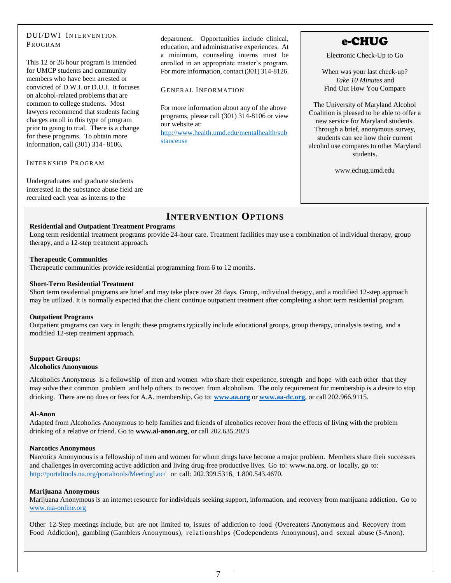#### DUI/DWI INTERVENTION PROGRAM

This 12 or 26 hour program is intended for UMCP students and community members who have been arrested or convicted of D.W.I. or D.U.I. It focuses on alcohol-related problems that are common to college students. Most lawyers recommend that students facing charges enroll in this type of program prior to going to trial. There is a change for these programs. To obtain more information, call (301) 314- 8106.

#### INTERNSHIP PROGRAM

Undergraduates and graduate students interested in the substance abuse field are recruited each year as interns to the

department. Opportunities include clinical, education, and administrative experiences. At a minimum, counseling interns must be enrolled in an appropriate master's program. For more information, contact (301) 314-8126.

#### **GENERAL INFORMATION**

For more information about any of the above programs, please call (301) 314-8106 or view our website at: [http://www.health.umd.edu/mentalhealth/sub](http://www.health.umd.edu/mentalhealth/substanceuse)

[stanceuse](http://www.health.umd.edu/mentalhealth/substanceuse)

# e-CHUG

Electronic Check-Up to Go

When was your last check-up? *Take 10 Minutes* and Find Out How You Compare

The University of Maryland Alcohol Coalition is pleased to be able to offer a new service for Maryland students. Through a brief, anonymous survey, students can see how their current alcohol use compares to other Maryland students.

www.echug.umd.edu

## **INTERVENTION OPTIONS**

#### **Residential and Outpatient Treatment Programs**

Long term residential treatment programs provide 24-hour care. Treatment facilities may use a combination of individual therapy, group therapy, and a 12-step treatment approach.

#### **Therapeutic Communities**

Therapeutic communities provide residential programming from 6 to 12 months.

#### **Short-Term Residential Treatment**

Short term residential programs are brief and may take place over 28 days. Group, individual therapy, and a modified 12-step approach may be utilized. It is normally expected that the client continue outpatient treatment after completing a short term residential program.

#### **Outpatient Programs**

Outpatient programs can vary in length; these programs typically include educational groups, group therapy, urinalysis testing, and a modified 12-step treatment approach.

#### **Support Groups: Alcoholics Anonymous**

Alcoholics Anonymous is a fellowship of men and women who share their experience, strength and hope with each other that they may solve their common problem and help others to recover from alcoholism. The only requirement for membership is a desire to stop drinking. There are no dues or fees for A.A. membership. Go to: **[www.aa.org](http://www.aa.org/)** or **[www.aa-dc.org](http://www.aa-dc.org/)**, or call 202.966.9115.

#### **Al-Anon**

Adapted from Alcoholics Anonymous to help families and friends of alcoholics recover from the effects of living with the problem drinking of a relative or friend. Go to **www.al-anon.org**, or call 202.635.2023

#### **Narcotics Anonymous**

Narcotics Anonymous is a fellowship of men and women for whom drugs have become a major problem. Members share their successes and challenges in overcoming active addiction and living drug-free productive lives. Go to: [www.na.org.](http://www.na.org/) or locally, go to: <http://portaltools.na.org/portaltools/MeetingLoc/> or call: 202.399.5316, 1.800.543.4670.

#### **Marijuana Anonymous**

Marijuana Anonymous is an internet resource for individuals seeking support, information, and recovery from marijuana addiction. Go to [www.ma-online.org](http://www.ma-online.org/)

other 12-Step meetings include, but are not limited to, issues of addiction to food (Overeaters Anonymous and Recovery from Food Addiction), gambling (Gamblers Anonymous), relationships (Codependents Anonymous), and sexual abuse (S-Anon).